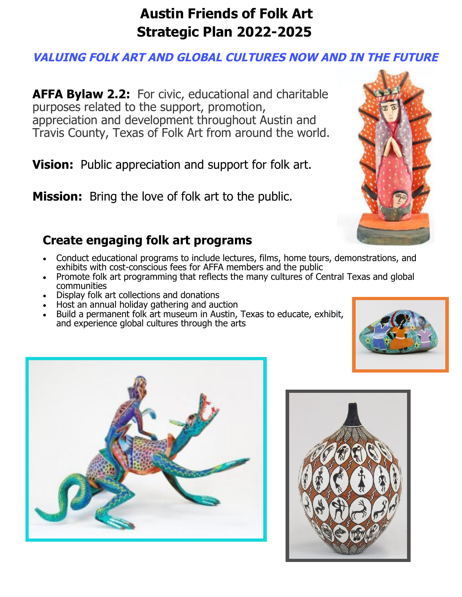# **Austin Friends of Folk Art Strategic Plan 2022-2025**

### **VALUING FOLK ART AND GLOBAL CULTURES NOW AND IN THE FUTURE**

**AFFA Bylaw 2.2:** For civic, educational and charitable purposes related to the support, promotion, appreciation and development throughout Austin and Travis County, Texas of Folk Art from around the world.

**Vision:** Public appreciation and support for folk art.

**Mission:** Bring the love of folk art to the public.

## **Create engaging folk art programs**

- Conduct educational programs to include lectures, films, home tours, demonstrations, and exhibits with cost-conscious fees for AFFA members and the public
- Promote folk art programming that reflects the many cultures of Central Texas and global communities
- Display folk art collections and donations
- Host an annual holiday gathering and auction
- Build a permanent folk art museum in Austin, Texas to educate, exhibit, and experience global cultures through the arts







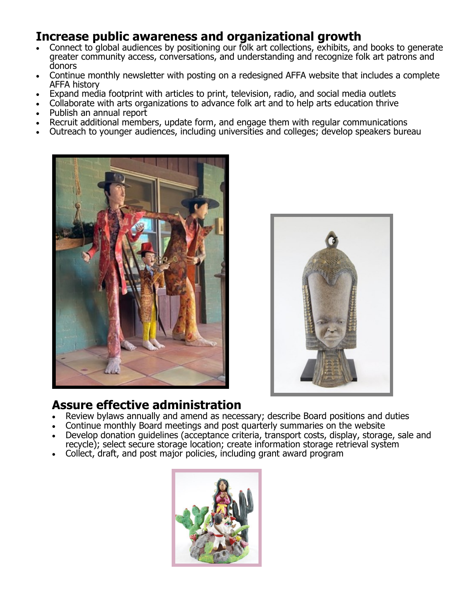#### **Increase public awareness and organizational growth**

- Connect to global audiences by positioning our folk art collections, exhibits, and books to generate greater community access, conversations, and understanding and recognize folk art patrons and donors
- Continue monthly newsletter with posting on a redesigned AFFA website that includes a complete AFFA history
- Expand media footprint with articles to print, television, radio, and social media outlets
- Collaborate with arts organizations to advance folk art and to help arts education thrive
- Publish an annual report
- Recruit additional members, update form, and engage them with regular communications
- Outreach to younger audiences, including universities and colleges; develop speakers bureau





#### **Assure effective administration**

- Review bylaws annually and amend as necessary; describe Board positions and duties
- Continue monthly Board meetings and post quarterly summaries on the website
- Develop donation guidelines (acceptance criteria, transport costs, display, storage, sale and recycle); select secure storage location; create information storage retrieval system
- Collect, draft, and post major policies, including grant award program